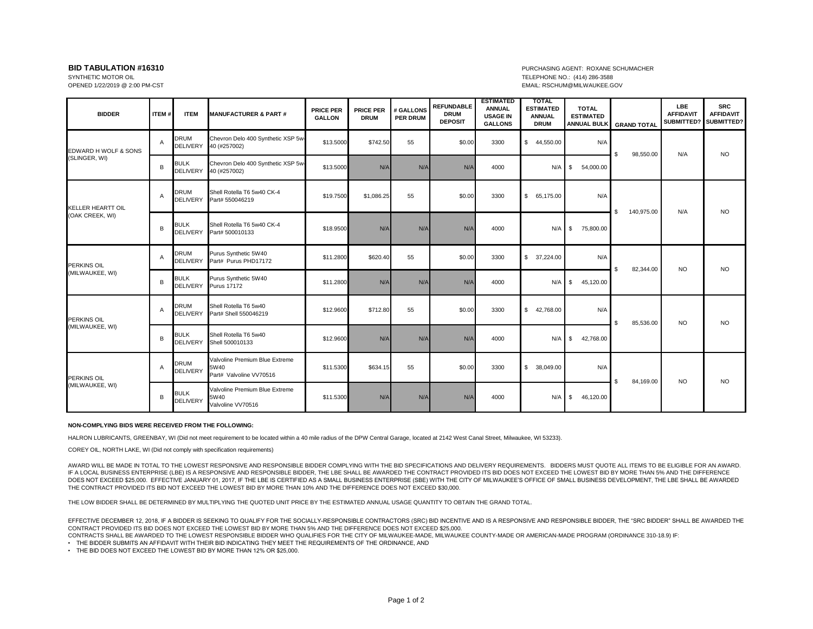## OPENED 1/22/2019 @ 2:00 PM-CST EMAIL: RSCHUM@MILWAUKEE.GOV

## **BID TABULATION #16310** PURCHASING AGENT: ROXANE SCHUMACHER SYNTHETIC MOTOR OIL **AND TELEPHONE NO.:** (414) 286-3588

| <b>BIDDER</b>                         | <b>ITEM#</b>   | <b>ITEM</b>                    | <b>MANUFACTURER &amp; PART #</b>                                  | <b>PRICE PER</b><br><b>GALLON</b> | <b>PRICE PER</b><br><b>DRUM</b> | # GALLONS<br><b>PER DRUM</b> | <b>REFUNDABLE</b><br><b>DRUM</b><br><b>DEPOSIT</b> | <b>ESTIMATED</b><br><b>ANNUAL</b><br><b>USAGE IN</b><br><b>GALLONS</b> | <b>TOTAL</b><br><b>ESTIMATED</b><br><b>ANNUAL</b><br><b>DRUM</b> | <b>TOTAL</b><br><b>ESTIMATED</b><br><b>ANNUAL BULK</b> | <b>GRAND TOTAL</b>        | <b>LBE</b><br><b>AFFIDAVIT</b><br>SUBMITTED? | <b>SRC</b><br><b>AFFIDAVIT</b><br>SUBMITTED? |
|---------------------------------------|----------------|--------------------------------|-------------------------------------------------------------------|-----------------------------------|---------------------------------|------------------------------|----------------------------------------------------|------------------------------------------------------------------------|------------------------------------------------------------------|--------------------------------------------------------|---------------------------|----------------------------------------------|----------------------------------------------|
| EDWARD H WOLF & SONS<br>(SLINGER, WI) | $\overline{A}$ | <b>DRUM</b><br><b>DELIVERY</b> | Chevron Delo 400 Synthetic XSP 5w-<br>40 (#257002)                | \$13.5000                         | \$742.50                        | 55                           | \$0.00                                             | 3300                                                                   | \$44,550.00                                                      | N/A                                                    | \$<br>98,550.00           | N/A                                          | <b>NO</b>                                    |
|                                       | B              | <b>BULK</b><br><b>DELIVERY</b> | Chevron Delo 400 Synthetic XSP 5w-<br>40 (#257002)                | \$13.5000                         | N/A                             | N/A                          | N/A                                                | 4000                                                                   | N/A                                                              | 54,000.00<br>-S                                        |                           |                                              |                                              |
| KELLER HEARTT OIL<br>(OAK CREEK, WI)  | $\overline{A}$ | <b>DRUM</b><br><b>DELIVERY</b> | Shell Rotella T6 5w40 CK-4<br>Part# 550046219                     | \$19,7500                         | \$1.086.25                      | 55                           | \$0.00                                             | 3300                                                                   | \$ 65,175,00                                                     | N/A                                                    | 140,975.00<br>\$          | N/A                                          | <b>NO</b>                                    |
|                                       | B              | <b>BULK</b><br><b>DELIVERY</b> | Shell Rotella T6 5w40 CK-4<br>Part# 500010133                     | \$18,9500                         | N/A                             | N/A                          | N/A                                                | 4000                                                                   | $N/A$ \$                                                         | 75,800.00                                              |                           |                                              |                                              |
| <b>PERKINS OIL</b><br>(MILWAUKEE, WI) | Α              | <b>DRUM</b><br><b>DELIVERY</b> | Purus Synthetic 5W40<br>Part# Purus PHD17172                      | \$11.2800                         | \$620.40                        | 55                           | \$0.00                                             | 3300                                                                   | \$37,224.00                                                      | N/A                                                    | $\mathbf{s}$<br>82,344.00 | <b>NO</b>                                    | <b>NO</b>                                    |
|                                       | B              | <b>BULK</b><br><b>DELIVERY</b> | Purus Synthetic 5W40<br><b>Purus 17172</b>                        | \$11.2800                         | N/A                             | N/A                          | N/A                                                | 4000                                                                   | N/A                                                              | S.<br>45,120.00                                        |                           |                                              |                                              |
| PERKINS OIL<br>(MILWAUKEE, WI)        | $\overline{A}$ | <b>DRUM</b><br><b>DELIVERY</b> | Shell Rotella T6 5w40<br>Part# Shell 550046219                    | \$12.9600                         | \$712.80                        | 55                           | \$0.00                                             | 3300                                                                   | \$42,768.00                                                      | N/A                                                    | \$<br>85,536.00           | <b>NO</b>                                    | <b>NO</b>                                    |
|                                       | B              | <b>BULK</b><br><b>DELIVERY</b> | Shell Rotella T6 5w40<br>Shell 500010133                          | \$12.9600                         | N/A                             | N/A                          | N/A                                                | 4000                                                                   | N/A                                                              | \$<br>42,768.00                                        |                           |                                              |                                              |
| <b>PERKINS OIL</b><br>(MILWAUKEE, WI) | Α              | <b>DRUM</b><br><b>DELIVERY</b> | Valvoline Premium Blue Extreme<br>5W40<br>Part# Valvoline VV70516 | \$11.5300                         | \$634.15                        | 55                           | \$0.00                                             | 3300                                                                   | \$ 38,049.00                                                     | N/A                                                    | \$<br>84,169.00           | <b>NO</b>                                    | <b>NO</b>                                    |
|                                       | B              | <b>BULK</b><br><b>DELIVERY</b> | Valvoline Premium Blue Extreme<br>5W40<br>Valvoline VV70516       | \$11.5300                         | N/A                             | N/A                          | N/A                                                | 4000                                                                   | $N/A$ \$                                                         | 46,120.00                                              |                           |                                              |                                              |

## **NON-COMPLYING BIDS WERE RECEIVED FROM THE FOLLOWING:**

HALRON LUBRICANTS, GREENBAY, WI (Did not meet requirement to be located within a 40 mile radius of the DPW Central Garage, located at 2142 West Canal Street, Milwaukee, WI 53233).

COREY OIL, NORTH LAKE, WI (Did not comply with specification requirements)

AWARD WILL BE MADE IN TOTAL TO THE LOWEST RESPONSIVE AND RESPONSIBLE BIDDER COMPLYING WITH THE BID SPECIFICATIONS AND DELIVERY REQUIREMENTS. BIDDERS MUST QUOTE ALL ITEMS TO BE ELIGIBLE FOR AN AWARD. IF A LOCAL BUSINESS ENTERPRISE (LBE) IS A RESPONSIVE AND RESPONSIBLE BIDDER, THE LBE SHALL BE AWARDED THE CONTRACT PROVIDED ITS BID DOES NOT EXCEED THE LOWEST BID BY MORE THAN 5% AND THE DIFFERENCE DOES NOT EXCEED \$25,000. EFFECTIVE JANUARY 01, 2017, IF THE LBE IS CERTIFIED AS A SMALL BUSINESS ENTERPRISE (SBE) WITH THE CITY OF MILWAUKEE'S OFFICE OF SMALL BUSINESS DEVELOPMENT, THE LBE SHALL BE AWARDED THE CONTRACT PROVIDED ITS BID NOT EXCEED THE LOWEST BID BY MORE THAN 10% AND THE DIFFERENCE DOES NOT EXCEED \$30,000.

THE LOW BIDDER SHALL BE DETERMINED BY MULTIPLYING THE QUOTED UNIT PRICE BY THE ESTIMATED ANNUAL USAGE QUANTITY TO OBTAIN THE GRAND TOTAL.

EFFECTIVE DECEMBER 12, 2018, IF A BIDDER IS SEEKING TO QUALIFY FOR THE SOCIALLY-RESPONSIBLE CONTRACTORS (SRC) BID INCENTIVE AND IS A RESPONSIVE AND RESPONSIBLE BIDDER, THE "SRC BIDDER" SHALL BE AWARDED THE CONTRACT PROVIDED ITS BID DOES NOT EXCEED THE LOWEST BID BY MORE THAN 5% AND THE DIFFERENCE DOES NOT EXCEED \$25,000.

CONTRACTS SHALL BE AWARDED TO THE LOWEST RESPONSIBLE BIDDER WHO QUALIFIES FOR THE CITY OF MILWAUKEE-MADE, MILWAUKEE COUNTY-MADE OR AMERICAN-MADE PROGRAM (ORDINANCE 310-18.9) IF:

• THE BIDDER SUBMITS AN AFFIDAVIT WITH THEIR BID INDICATING THEY MEET THE REQUIREMENTS OF THE ORDINANCE, AND

• THE BID DOES NOT EXCEED THE LOWEST BID BY MORE THAN 12% OR \$25,000.